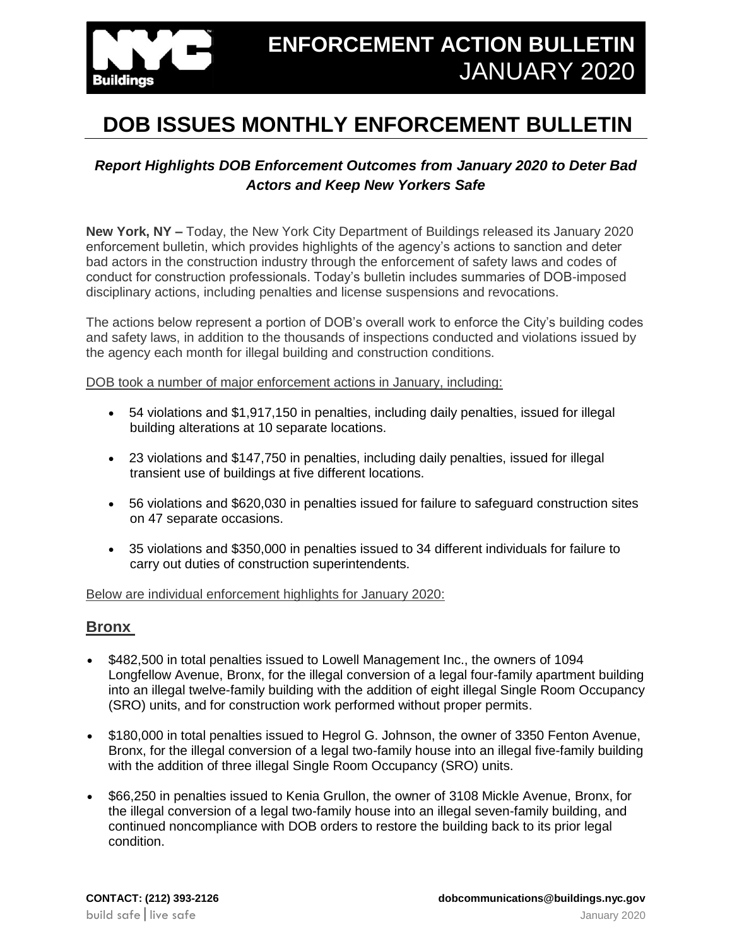

# **DOB ISSUES MONTHLY ENFORCEMENT BULLETIN**

## *Report Highlights DOB Enforcement Outcomes from January 2020 to Deter Bad Actors and Keep New Yorkers Safe*

**New York, NY –** Today, the New York City Department of Buildings released its January 2020 enforcement bulletin, which provides highlights of the agency's actions to sanction and deter bad actors in the construction industry through the enforcement of safety laws and codes of conduct for construction professionals. Today's bulletin includes summaries of DOB-imposed disciplinary actions, including penalties and license suspensions and revocations.

The actions below represent a portion of DOB's overall work to enforce the City's building codes and safety laws, in addition to the thousands of inspections conducted and violations issued by the agency each month for illegal building and construction conditions.

DOB took a number of major enforcement actions in January, including:

- 54 violations and \$1,917,150 in penalties, including daily penalties, issued for illegal building alterations at 10 separate locations.
- 23 violations and \$147,750 in penalties, including daily penalties, issued for illegal transient use of buildings at five different locations.
- 56 violations and \$620,030 in penalties issued for failure to safeguard construction sites on 47 separate occasions.
- 35 violations and \$350,000 in penalties issued to 34 different individuals for failure to carry out duties of construction superintendents.

Below are individual enforcement highlights for January 2020:

#### **Bronx**

- \$482,500 in total penalties issued to Lowell Management Inc., the owners of 1094 Longfellow Avenue, Bronx, for the illegal conversion of a legal four-family apartment building into an illegal twelve-family building with the addition of eight illegal Single Room Occupancy (SRO) units, and for construction work performed without proper permits.
- \$180,000 in total penalties issued to Hegrol G. Johnson, the owner of 3350 Fenton Avenue, Bronx, for the illegal conversion of a legal two-family house into an illegal five-family building with the addition of three illegal Single Room Occupancy (SRO) units.
- \$66,250 in penalties issued to Kenia Grullon, the owner of 3108 Mickle Avenue, Bronx, for the illegal conversion of a legal two-family house into an illegal seven-family building, and continued noncompliance with DOB orders to restore the building back to its prior legal condition.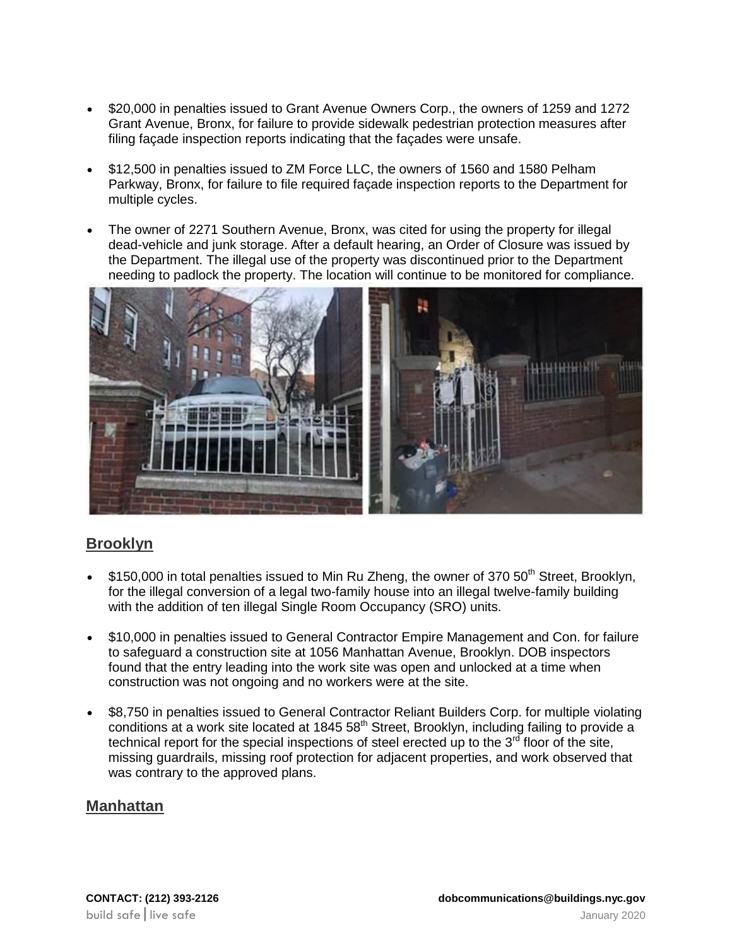- \$20,000 in penalties issued to Grant Avenue Owners Corp., the owners of 1259 and 1272 Grant Avenue, Bronx, for failure to provide sidewalk pedestrian protection measures after filing façade inspection reports indicating that the façades were unsafe.
- \$12,500 in penalties issued to ZM Force LLC, the owners of 1560 and 1580 Pelham Parkway, Bronx, for failure to file required façade inspection reports to the Department for multiple cycles.
- The owner of 2271 Southern Avenue, Bronx, was cited for using the property for illegal dead-vehicle and junk storage. After a default hearing, an Order of Closure was issued by the Department. The illegal use of the property was discontinued prior to the Department needing to padlock the property. The location will continue to be monitored for compliance.



## **Brooklyn**

- \$150,000 in total penalties issued to Min Ru Zheng, the owner of 370  $50<sup>th</sup>$  Street, Brooklyn, for the illegal conversion of a legal two-family house into an illegal twelve-family building with the addition of ten illegal Single Room Occupancy (SRO) units.
- \$10,000 in penalties issued to General Contractor Empire Management and Con. for failure to safeguard a construction site at 1056 Manhattan Avenue, Brooklyn. DOB inspectors found that the entry leading into the work site was open and unlocked at a time when construction was not ongoing and no workers were at the site.
- \$8.750 in penalties issued to General Contractor Reliant Builders Corp. for multiple violating conditions at a work site located at  $1845.58<sup>th</sup>$  Street, Brooklyn, including failing to provide a technical report for the special inspections of steel erected up to the  $3<sup>rd</sup>$  floor of the site, missing guardrails, missing roof protection for adjacent properties, and work observed that was contrary to the approved plans.

#### **Manhattan**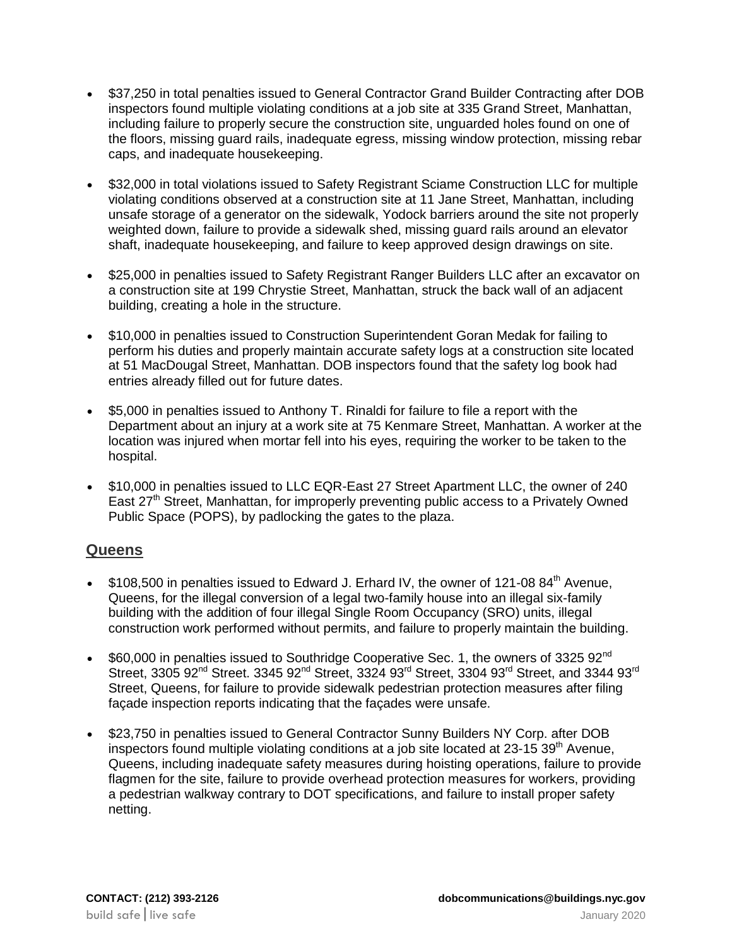- \$37,250 in total penalties issued to General Contractor Grand Builder Contracting after DOB inspectors found multiple violating conditions at a job site at 335 Grand Street, Manhattan, including failure to properly secure the construction site, unguarded holes found on one of the floors, missing guard rails, inadequate egress, missing window protection, missing rebar caps, and inadequate housekeeping.
- \$32,000 in total violations issued to Safety Registrant Sciame Construction LLC for multiple violating conditions observed at a construction site at 11 Jane Street, Manhattan, including unsafe storage of a generator on the sidewalk, Yodock barriers around the site not properly weighted down, failure to provide a sidewalk shed, missing guard rails around an elevator shaft, inadequate housekeeping, and failure to keep approved design drawings on site.
- \$25,000 in penalties issued to Safety Registrant Ranger Builders LLC after an excavator on a construction site at 199 Chrystie Street, Manhattan, struck the back wall of an adjacent building, creating a hole in the structure.
- \$10,000 in penalties issued to Construction Superintendent Goran Medak for failing to perform his duties and properly maintain accurate safety logs at a construction site located at 51 MacDougal Street, Manhattan. DOB inspectors found that the safety log book had entries already filled out for future dates.
- \$5,000 in penalties issued to Anthony T. Rinaldi for failure to file a report with the Department about an injury at a work site at 75 Kenmare Street, Manhattan. A worker at the location was injured when mortar fell into his eyes, requiring the worker to be taken to the hospital.
- \$10,000 in penalties issued to LLC EQR-East 27 Street Apartment LLC, the owner of 240 East  $27<sup>th</sup>$  Street, Manhattan, for improperly preventing public access to a Privately Owned Public Space (POPS), by padlocking the gates to the plaza.

## **Queens**

- $\bullet$  \$108,500 in penalties issued to Edward J. Erhard IV, the owner of 121-08 84<sup>th</sup> Avenue, Queens, for the illegal conversion of a legal two-family house into an illegal six-family building with the addition of four illegal Single Room Occupancy (SRO) units, illegal construction work performed without permits, and failure to properly maintain the building.
- \$60,000 in penalties issued to Southridge Cooperative Sec. 1, the owners of 3325 92<sup>nd</sup> Street, 3305 92<sup>nd</sup> Street. 3345 92<sup>nd</sup> Street, 3324 93<sup>rd</sup> Street, 3304 93<sup>rd</sup> Street, and 3344 93<sup>rd</sup> Street, Queens, for failure to provide sidewalk pedestrian protection measures after filing façade inspection reports indicating that the façades were unsafe.
- \$23,750 in penalties issued to General Contractor Sunny Builders NY Corp. after DOB inspectors found multiple violating conditions at a job site located at 23-15 39<sup>th</sup> Avenue, Queens, including inadequate safety measures during hoisting operations, failure to provide flagmen for the site, failure to provide overhead protection measures for workers, providing a pedestrian walkway contrary to DOT specifications, and failure to install proper safety netting.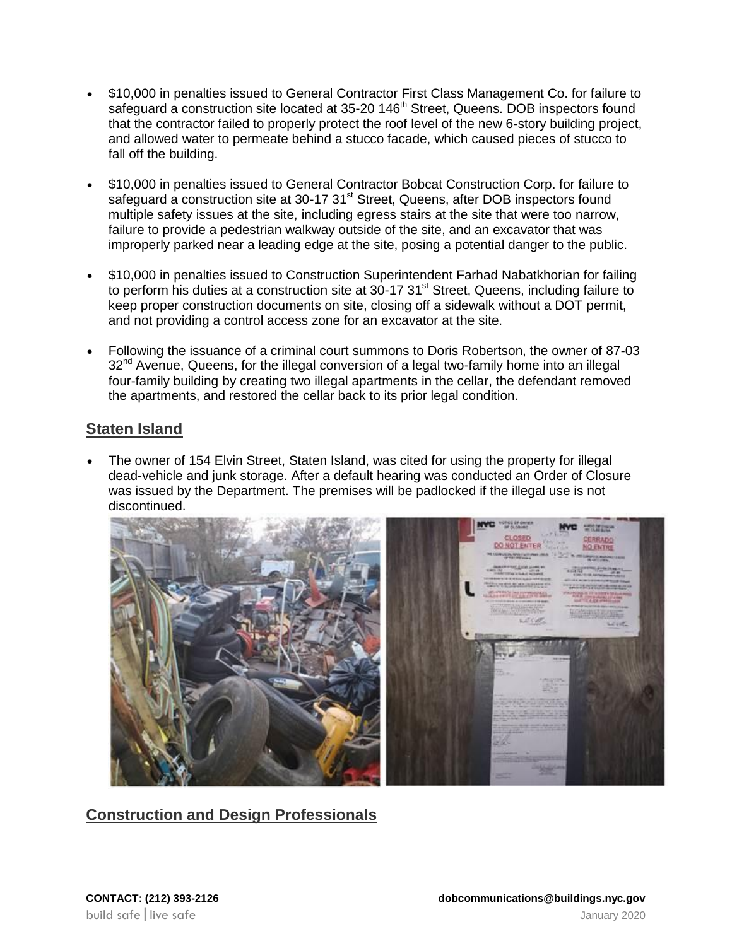- \$10,000 in penalties issued to General Contractor First Class Management Co. for failure to safeguard a construction site located at 35-20 146<sup>th</sup> Street, Queens. DOB inspectors found that the contractor failed to properly protect the roof level of the new 6-story building project, and allowed water to permeate behind a stucco facade, which caused pieces of stucco to fall off the building.
- \$10,000 in penalties issued to General Contractor Bobcat Construction Corp. for failure to safeguard a construction site at 30-17 31<sup>st</sup> Street, Queens, after DOB inspectors found multiple safety issues at the site, including egress stairs at the site that were too narrow, failure to provide a pedestrian walkway outside of the site, and an excavator that was improperly parked near a leading edge at the site, posing a potential danger to the public.
- \$10,000 in penalties issued to Construction Superintendent Farhad Nabatkhorian for failing to perform his duties at a construction site at 30-17 31<sup>st</sup> Street, Queens, including failure to keep proper construction documents on site, closing off a sidewalk without a DOT permit, and not providing a control access zone for an excavator at the site.
- Following the issuance of a criminal court summons to Doris Robertson, the owner of 87-03 32<sup>nd</sup> Avenue, Queens, for the illegal conversion of a legal two-family home into an illegal four-family building by creating two illegal apartments in the cellar, the defendant removed the apartments, and restored the cellar back to its prior legal condition.

# **Staten Island**

 The owner of 154 Elvin Street, Staten Island, was cited for using the property for illegal dead-vehicle and junk storage. After a default hearing was conducted an Order of Closure was issued by the Department. The premises will be padlocked if the illegal use is not discontinued.



# **Construction and Design Professionals**